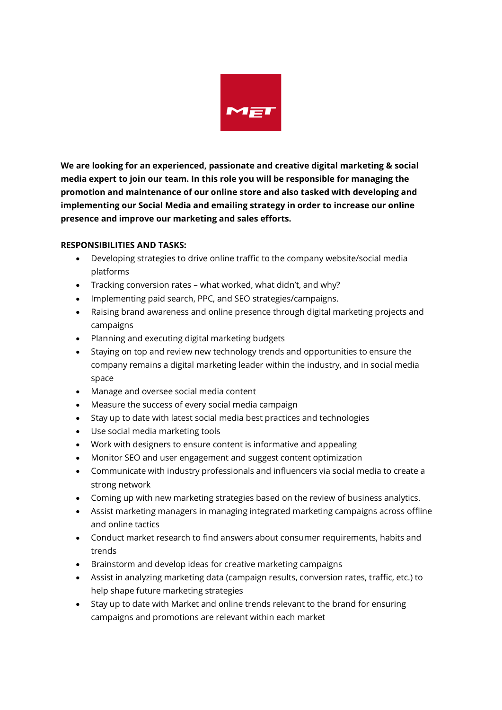

**We are looking for an experienced, passionate and creative digital marketing & social media expert to join our team. In this role you will be responsible for managing the promotion and maintenance of our online store and also tasked with developing and implementing our Social Media and emailing strategy in order to increase our online presence and improve our marketing and sales efforts.**

## **RESPONSIBILITIES AND TASKS:**

- Developing strategies to drive online traffic to the company website/social media platforms
- Tracking conversion rates what worked, what didn't, and why?
- Implementing paid search, PPC, and SEO strategies/campaigns.
- Raising brand awareness and online presence through digital marketing projects and campaigns
- Planning and executing digital marketing budgets
- Staying on top and review new technology trends and opportunities to ensure the company remains a digital marketing leader within the industry, and in social media space
- Manage and oversee social media content
- Measure the success of every social media campaign
- Stay up to date with latest social media best practices and technologies
- Use social media marketing tools
- Work with designers to ensure content is informative and appealing
- Monitor SEO and user engagement and suggest content optimization
- Communicate with industry professionals and influencers via social media to create a strong network
- Coming up with new marketing strategies based on the review of business analytics.
- Assist marketing managers in managing integrated marketing campaigns across offline and online tactics
- Conduct market research to find answers about consumer requirements, habits and trends
- Brainstorm and develop ideas for creative marketing campaigns
- Assist in analyzing marketing data (campaign results, conversion rates, traffic, etc.) to help shape future marketing strategies
- Stay up to date with Market and online trends relevant to the brand for ensuring campaigns and promotions are relevant within each market